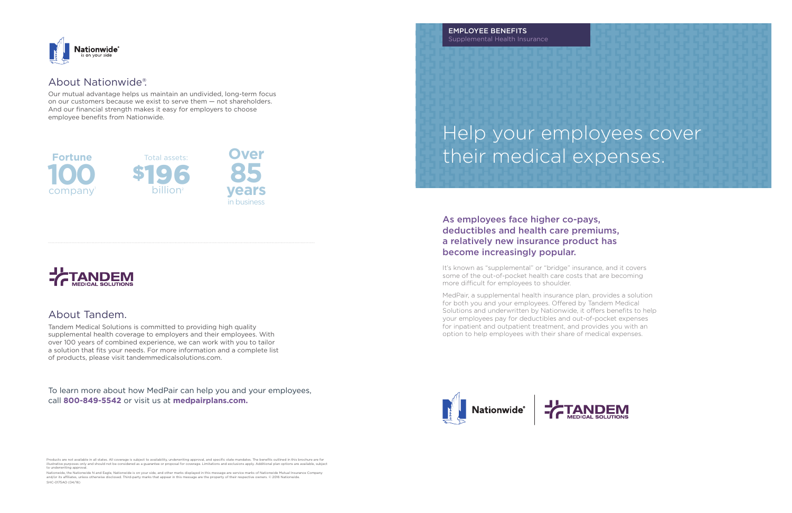# Help your employees cover their medical expenses.

## As employees face higher co-pays, deductibles and health care premiums, a relatively new insurance product has become increasingly popular.

It's known as "supplemental" or "bridge" insurance, and it covers some of the out-of-pocket health care costs that are becoming more difficult for employees to shoulder.

MedPair, a supplemental health insurance plan, provides a solution for both you and your employees. Offered by Tandem Medical Solutions and underwritten by Nationwide, it offers benefits to help your employees pay for deductibles and out-of-pocket expenses for inpatient and outpatient treatment, and provides you with an option to help employees with their share of medical expenses.





Nationwide, the Nationwide N and Eagle, Nationwide is on your side, and other marks displayed in this message are service marks of Nationwide Mutual Insurance Company<br>and/or its affiliates, unless otherwise disclosed. Thir SHC-0175AO (04/16)



EMPLOYEE BENEFITS Supplemental Health Insurance

Products are not available in all states. All coverage is subject to availability, underwriting approval, and specific state mandates. The benefits outlined in this brochure are for illustrative purposes only and should not be considered as a guarantee or proposal for coverage. Limitations and exclusions apply. Additional plan options are available, subject to underwriting approval.



# About Nationwide®.

Our mutual advantage helps us maintain an undivided, long-term focus on our customers because we exist to serve them — not shareholders. And our financial strength makes it easy for employers to choose employee benefits from Nationwide.

## About Tandem.

Tandem Medical Solutions is committed to providing high quality supplemental health coverage to employers and their employees. With over 100 years of combined experience, we can work with you to tailor a solution that fits your needs. For more information and a complete list of products, please visit tandemmedicalsolutions.com.





To learn more about how MedPair can help you and your employees, call **800-849-5542** or visit us at **medpairplans.com.**